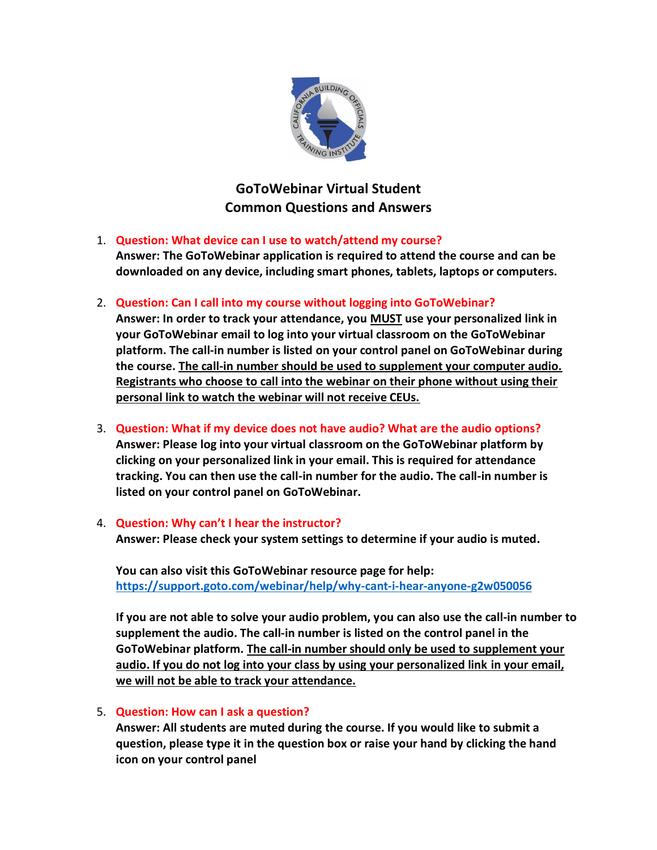

# **GoToWebinar Virtual Student Common Questions and Answers**

# 1. **Question: What device can I use to watch/attend my course?**

**Answer: The GoToWebinar application is required to attend the course and can be downloaded on any device, including smart phones, tablets, laptops or computers.**

2. **Question: Can I call into my course without logging into GoToWebinar?**

**Answer: In order to track your attendance, you MUST use your personalized link in your GoToWebinar email to log into your virtual classroom on the GoToWebinar platform. The call-in number is listed on your control panel on GoToWebinar during the course. The call-in number should be used to supplement your computer audio. Registrants who choose to call into the webinar on their phone without using their personal link to watch the webinar will not receive CEUs.**

- 3. **Question: What if my device does not have audio? What are the audio options? Answer: Please log into your virtual classroom on the GoToWebinar platform by clicking on your personalized link in your email. This is required for attendance tracking. You can then use the call-in number for the audio. The call-in number is listed on your control panel on GoToWebinar.**
- 4. **Question: Why can't I hear the instructor?**

**Answer: Please check your system settings to determine if your audio is muted.**

**You can also visit this GoToWebinar resource page for help: <https://support.goto.com/webinar/help/why-cant-i-hear-anyone-g2w050056>**

**If you are not able to solve your audio problem, you can also use the call-in number to supplement the audio. The call-in number is listed on the control panel in the GoToWebinar platform. The call-in number should only be used to supplement your audio. If you do not log into your class by using your personalized link in your email, we will not be able to track your attendance.** 

# 5. **Question: How can I ask a question?**

**Answer: All students are muted during the course. If you would like to submit a question, please type it in the question box or raise your hand by clicking the hand icon on your control panel**